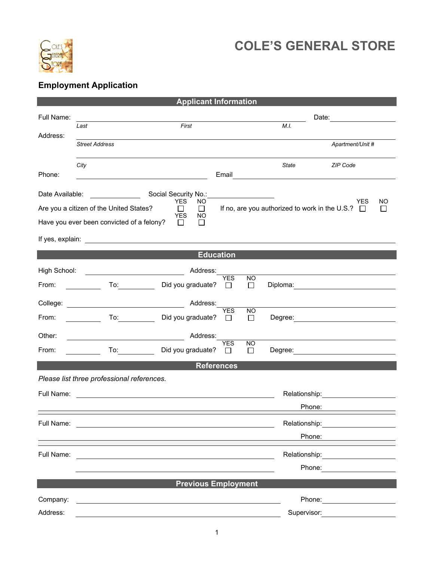

## **COLE'S GENERAL STORE**

## **Employment Application**

| <b>Applicant Information</b>                                                                          |                                                                                                                                                                                                                                |                            |                      |                      |                                                                                                                                                                                                                                |                                                                                                                        |  |  |  |
|-------------------------------------------------------------------------------------------------------|--------------------------------------------------------------------------------------------------------------------------------------------------------------------------------------------------------------------------------|----------------------------|----------------------|----------------------|--------------------------------------------------------------------------------------------------------------------------------------------------------------------------------------------------------------------------------|------------------------------------------------------------------------------------------------------------------------|--|--|--|
| Full Name:                                                                                            |                                                                                                                                                                                                                                |                            |                      |                      |                                                                                                                                                                                                                                |                                                                                                                        |  |  |  |
| Address:                                                                                              | First<br>Last                                                                                                                                                                                                                  |                            |                      |                      | M.I.                                                                                                                                                                                                                           |                                                                                                                        |  |  |  |
|                                                                                                       | <b>Street Address</b>                                                                                                                                                                                                          |                            |                      |                      |                                                                                                                                                                                                                                | Apartment/Unit #                                                                                                       |  |  |  |
|                                                                                                       | City                                                                                                                                                                                                                           |                            |                      |                      | State                                                                                                                                                                                                                          | ZIP Code                                                                                                               |  |  |  |
| Phone:                                                                                                |                                                                                                                                                                                                                                |                            | Email                |                      |                                                                                                                                                                                                                                | <u> 1989 - Johann Stoff, deutscher Stoffen und der Stoffen und der Stoffen und der Stoffen und der Stoffen und der</u> |  |  |  |
| Social Security No.:<br>Date Available:<br><u> 1999 - Jan Jawa Barat, president p</u>                 |                                                                                                                                                                                                                                |                            |                      |                      |                                                                                                                                                                                                                                |                                                                                                                        |  |  |  |
| <b>YES</b><br>NO.<br>Are you a citizen of the United States?<br>$\Box$<br>$\Box$<br><b>YES</b><br>NO. |                                                                                                                                                                                                                                |                            |                      |                      | YES.<br>NO<br>If no, are you authorized to work in the U.S.? □<br>$\perp$                                                                                                                                                      |                                                                                                                        |  |  |  |
|                                                                                                       | Have you ever been convicted of a felony?                                                                                                                                                                                      | $\perp$<br>$\mathbf{L}$    |                      |                      |                                                                                                                                                                                                                                |                                                                                                                        |  |  |  |
|                                                                                                       |                                                                                                                                                                                                                                |                            |                      |                      |                                                                                                                                                                                                                                |                                                                                                                        |  |  |  |
|                                                                                                       |                                                                                                                                                                                                                                |                            | <b>Education</b>     |                      |                                                                                                                                                                                                                                |                                                                                                                        |  |  |  |
| High School:                                                                                          | <u> The Communication of the Communication</u>                                                                                                                                                                                 | Address:                   |                      |                      |                                                                                                                                                                                                                                |                                                                                                                        |  |  |  |
| From:                                                                                                 | <u>and the second</u>                                                                                                                                                                                                          | Did you graduate?          | <b>YES</b><br>$\Box$ | NO.<br>$\Box$        |                                                                                                                                                                                                                                | Diploma: __________________________________                                                                            |  |  |  |
|                                                                                                       |                                                                                                                                                                                                                                | Address:                   | <b>YES</b>           |                      |                                                                                                                                                                                                                                |                                                                                                                        |  |  |  |
| From:                                                                                                 | To: $\qquad \qquad$                                                                                                                                                                                                            | Did you graduate?          | $\mathbf{1}$         | <b>NO</b><br>$\Box$  |                                                                                                                                                                                                                                |                                                                                                                        |  |  |  |
| Other:                                                                                                |                                                                                                                                                                                                                                | Address:                   | <b>YES</b>           |                      |                                                                                                                                                                                                                                |                                                                                                                        |  |  |  |
| From:                                                                                                 | To: the contract of the contract of the contract of the contract of the contract of the contract of the contract of the contract of the contract of the contract of the contract of the contract of the contract of the contra | Did you graduate?          | $\perp$              | <b>NO</b><br>$\perp$ |                                                                                                                                                                                                                                |                                                                                                                        |  |  |  |
|                                                                                                       |                                                                                                                                                                                                                                |                            | <b>References</b>    |                      |                                                                                                                                                                                                                                |                                                                                                                        |  |  |  |
|                                                                                                       | Please list three professional references.                                                                                                                                                                                     |                            |                      |                      |                                                                                                                                                                                                                                |                                                                                                                        |  |  |  |
| Full Name:                                                                                            |                                                                                                                                                                                                                                |                            |                      |                      |                                                                                                                                                                                                                                | Relationship: ______________________                                                                                   |  |  |  |
|                                                                                                       |                                                                                                                                                                                                                                |                            |                      |                      | Phone:                                                                                                                                                                                                                         |                                                                                                                        |  |  |  |
| Full Name:                                                                                            | <u> 1980 - Jan Sterling von Berger von Berger von Berger von Berger von Berger von Berger von Berger von Berger</u>                                                                                                            |                            |                      |                      | Relationship: Weblate Services and Services and Services and Services and Services and Services and Services and Services and Services and Services and Services and Services and Services and Services and Services and Servi |                                                                                                                        |  |  |  |
|                                                                                                       |                                                                                                                                                                                                                                |                            |                      |                      | Phone:                                                                                                                                                                                                                         |                                                                                                                        |  |  |  |
| Full Name:                                                                                            |                                                                                                                                                                                                                                |                            |                      |                      |                                                                                                                                                                                                                                | Relationship: _______________________                                                                                  |  |  |  |
|                                                                                                       |                                                                                                                                                                                                                                |                            |                      |                      |                                                                                                                                                                                                                                | Phone: <u>______________</u>                                                                                           |  |  |  |
|                                                                                                       |                                                                                                                                                                                                                                | <b>Previous Employment</b> |                      |                      |                                                                                                                                                                                                                                |                                                                                                                        |  |  |  |
| Company:                                                                                              |                                                                                                                                                                                                                                |                            |                      |                      |                                                                                                                                                                                                                                | Phone: <u>_______________________</u>                                                                                  |  |  |  |
| Address:                                                                                              |                                                                                                                                                                                                                                |                            |                      |                      | Supervisor:                                                                                                                                                                                                                    |                                                                                                                        |  |  |  |